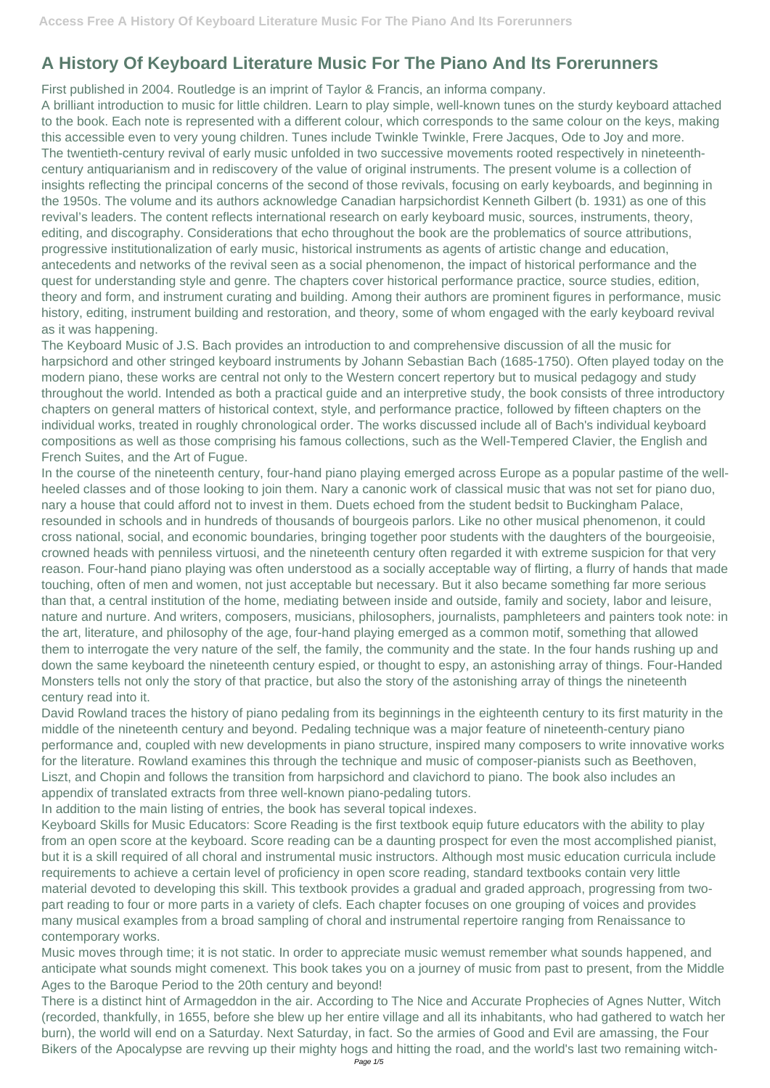## **A History Of Keyboard Literature Music For The Piano And Its Forerunners**

First published in 2004. Routledge is an imprint of Taylor & Francis, an informa company.

A brilliant introduction to music for little children. Learn to play simple, well-known tunes on the sturdy keyboard attached to the book. Each note is represented with a different colour, which corresponds to the same colour on the keys, making this accessible even to very young children. Tunes include Twinkle Twinkle, Frere Jacques, Ode to Joy and more. The twentieth-century revival of early music unfolded in two successive movements rooted respectively in nineteenthcentury antiquarianism and in rediscovery of the value of original instruments. The present volume is a collection of insights reflecting the principal concerns of the second of those revivals, focusing on early keyboards, and beginning in the 1950s. The volume and its authors acknowledge Canadian harpsichordist Kenneth Gilbert (b. 1931) as one of this revival's leaders. The content reflects international research on early keyboard music, sources, instruments, theory, editing, and discography. Considerations that echo throughout the book are the problematics of source attributions, progressive institutionalization of early music, historical instruments as agents of artistic change and education, antecedents and networks of the revival seen as a social phenomenon, the impact of historical performance and the quest for understanding style and genre. The chapters cover historical performance practice, source studies, edition, theory and form, and instrument curating and building. Among their authors are prominent figures in performance, music history, editing, instrument building and restoration, and theory, some of whom engaged with the early keyboard revival as it was happening.

The Keyboard Music of J.S. Bach provides an introduction to and comprehensive discussion of all the music for harpsichord and other stringed keyboard instruments by Johann Sebastian Bach (1685-1750). Often played today on the modern piano, these works are central not only to the Western concert repertory but to musical pedagogy and study throughout the world. Intended as both a practical guide and an interpretive study, the book consists of three introductory chapters on general matters of historical context, style, and performance practice, followed by fifteen chapters on the individual works, treated in roughly chronological order. The works discussed include all of Bach's individual keyboard compositions as well as those comprising his famous collections, such as the Well-Tempered Clavier, the English and French Suites, and the Art of Fugue.

In the course of the nineteenth century, four-hand piano playing emerged across Europe as a popular pastime of the wellheeled classes and of those looking to join them. Nary a canonic work of classical music that was not set for piano duo, nary a house that could afford not to invest in them. Duets echoed from the student bedsit to Buckingham Palace, resounded in schools and in hundreds of thousands of bourgeois parlors. Like no other musical phenomenon, it could cross national, social, and economic boundaries, bringing together poor students with the daughters of the bourgeoisie, crowned heads with penniless virtuosi, and the nineteenth century often regarded it with extreme suspicion for that very reason. Four-hand piano playing was often understood as a socially acceptable way of flirting, a flurry of hands that made touching, often of men and women, not just acceptable but necessary. But it also became something far more serious than that, a central institution of the home, mediating between inside and outside, family and society, labor and leisure, nature and nurture. And writers, composers, musicians, philosophers, journalists, pamphleteers and painters took note: in the art, literature, and philosophy of the age, four-hand playing emerged as a common motif, something that allowed them to interrogate the very nature of the self, the family, the community and the state. In the four hands rushing up and down the same keyboard the nineteenth century espied, or thought to espy, an astonishing array of things. Four-Handed Monsters tells not only the story of that practice, but also the story of the astonishing array of things the nineteenth century read into it.

David Rowland traces the history of piano pedaling from its beginnings in the eighteenth century to its first maturity in the middle of the nineteenth century and beyond. Pedaling technique was a major feature of nineteenth-century piano performance and, coupled with new developments in piano structure, inspired many composers to write innovative works for the literature. Rowland examines this through the technique and music of composer-pianists such as Beethoven, Liszt, and Chopin and follows the transition from harpsichord and clavichord to piano. The book also includes an appendix of translated extracts from three well-known piano-pedaling tutors.

In addition to the main listing of entries, the book has several topical indexes.

Keyboard Skills for Music Educators: Score Reading is the first textbook equip future educators with the ability to play from an open score at the keyboard. Score reading can be a daunting prospect for even the most accomplished pianist, but it is a skill required of all choral and instrumental music instructors. Although most music education curricula include requirements to achieve a certain level of proficiency in open score reading, standard textbooks contain very little material devoted to developing this skill. This textbook provides a gradual and graded approach, progressing from twopart reading to four or more parts in a variety of clefs. Each chapter focuses on one grouping of voices and provides many musical examples from a broad sampling of choral and instrumental repertoire ranging from Renaissance to contemporary works. Music moves through time; it is not static. In order to appreciate music wemust remember what sounds happened, and anticipate what sounds might comenext. This book takes you on a journey of music from past to present, from the Middle Ages to the Baroque Period to the 20th century and beyond! There is a distinct hint of Armageddon in the air. According to The Nice and Accurate Prophecies of Agnes Nutter, Witch (recorded, thankfully, in 1655, before she blew up her entire village and all its inhabitants, who had gathered to watch her burn), the world will end on a Saturday. Next Saturday, in fact. So the armies of Good and Evil are amassing, the Four Bikers of the Apocalypse are revving up their mighty hogs and hitting the road, and the world's last two remaining witch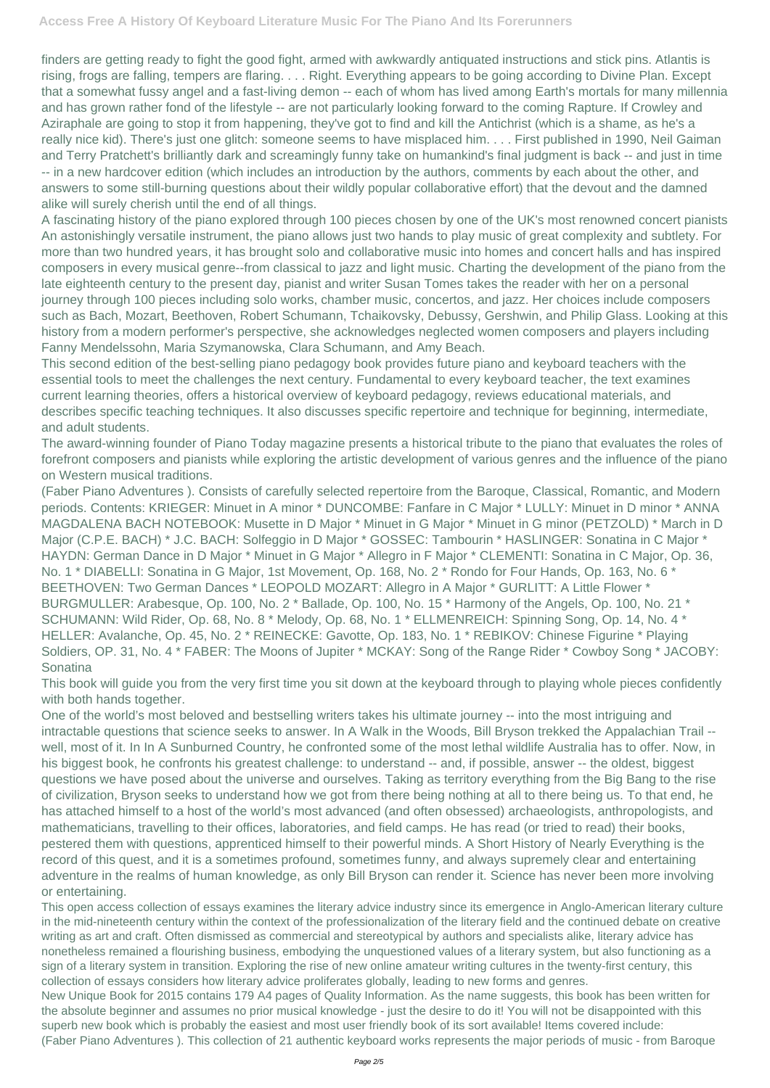finders are getting ready to fight the good fight, armed with awkwardly antiquated instructions and stick pins. Atlantis is rising, frogs are falling, tempers are flaring. . . . Right. Everything appears to be going according to Divine Plan. Except that a somewhat fussy angel and a fast-living demon -- each of whom has lived among Earth's mortals for many millennia and has grown rather fond of the lifestyle -- are not particularly looking forward to the coming Rapture. If Crowley and Aziraphale are going to stop it from happening, they've got to find and kill the Antichrist (which is a shame, as he's a really nice kid). There's just one glitch: someone seems to have misplaced him. . . . First published in 1990, Neil Gaiman and Terry Pratchett's brilliantly dark and screamingly funny take on humankind's final judgment is back -- and just in time -- in a new hardcover edition (which includes an introduction by the authors, comments by each about the other, and answers to some still-burning questions about their wildly popular collaborative effort) that the devout and the damned alike will surely cherish until the end of all things.

A fascinating history of the piano explored through 100 pieces chosen by one of the UK's most renowned concert pianists An astonishingly versatile instrument, the piano allows just two hands to play music of great complexity and subtlety. For more than two hundred years, it has brought solo and collaborative music into homes and concert halls and has inspired composers in every musical genre--from classical to jazz and light music. Charting the development of the piano from the late eighteenth century to the present day, pianist and writer Susan Tomes takes the reader with her on a personal journey through 100 pieces including solo works, chamber music, concertos, and jazz. Her choices include composers such as Bach, Mozart, Beethoven, Robert Schumann, Tchaikovsky, Debussy, Gershwin, and Philip Glass. Looking at this history from a modern performer's perspective, she acknowledges neglected women composers and players including Fanny Mendelssohn, Maria Szymanowska, Clara Schumann, and Amy Beach.

This second edition of the best-selling piano pedagogy book provides future piano and keyboard teachers with the essential tools to meet the challenges the next century. Fundamental to every keyboard teacher, the text examines current learning theories, offers a historical overview of keyboard pedagogy, reviews educational materials, and describes specific teaching techniques. It also discusses specific repertoire and technique for beginning, intermediate, and adult students.

The award-winning founder of Piano Today magazine presents a historical tribute to the piano that evaluates the roles of forefront composers and pianists while exploring the artistic development of various genres and the influence of the piano on Western musical traditions.

(Faber Piano Adventures ). Consists of carefully selected repertoire from the Baroque, Classical, Romantic, and Modern periods. Contents: KRIEGER: Minuet in A minor \* DUNCOMBE: Fanfare in C Major \* LULLY: Minuet in D minor \* ANNA MAGDALENA BACH NOTEBOOK: Musette in D Major \* Minuet in G Major \* Minuet in G minor (PETZOLD) \* March in D Major (C.P.E. BACH) \* J.C. BACH: Solfeggio in D Major \* GOSSEC: Tambourin \* HASLINGER: Sonatina in C Major \* HAYDN: German Dance in D Major \* Minuet in G Major \* Allegro in F Major \* CLEMENTI: Sonatina in C Major, Op. 36, No. 1 \* DIABELLI: Sonatina in G Major, 1st Movement, Op. 168, No. 2 \* Rondo for Four Hands, Op. 163, No. 6 \* BEETHOVEN: Two German Dances \* LEOPOLD MOZART: Allegro in A Major \* GURLITT: A Little Flower \* BURGMULLER: Arabesque, Op. 100, No. 2 \* Ballade, Op. 100, No. 15 \* Harmony of the Angels, Op. 100, No. 21 \* SCHUMANN: Wild Rider, Op. 68, No. 8 \* Melody, Op. 68, No. 1 \* ELLMENREICH: Spinning Song, Op. 14, No. 4 \* HELLER: Avalanche, Op. 45, No. 2 \* REINECKE: Gavotte, Op. 183, No. 1 \* REBIKOV: Chinese Figurine \* Playing Soldiers, OP. 31, No. 4 \* FABER: The Moons of Jupiter \* MCKAY: Song of the Range Rider \* Cowboy Song \* JACOBY: Sonatina

This book will guide you from the very first time you sit down at the keyboard through to playing whole pieces confidently with both hands together.

One of the world's most beloved and bestselling writers takes his ultimate journey -- into the most intriguing and intractable questions that science seeks to answer. In A Walk in the Woods, Bill Bryson trekked the Appalachian Trail - well, most of it. In In A Sunburned Country, he confronted some of the most lethal wildlife Australia has to offer. Now, in his biggest book, he confronts his greatest challenge: to understand -- and, if possible, answer -- the oldest, biggest questions we have posed about the universe and ourselves. Taking as territory everything from the Big Bang to the rise of civilization, Bryson seeks to understand how we got from there being nothing at all to there being us. To that end, he has attached himself to a host of the world's most advanced (and often obsessed) archaeologists, anthropologists, and

mathematicians, travelling to their offices, laboratories, and field camps. He has read (or tried to read) their books, pestered them with questions, apprenticed himself to their powerful minds. A Short History of Nearly Everything is the record of this quest, and it is a sometimes profound, sometimes funny, and always supremely clear and entertaining adventure in the realms of human knowledge, as only Bill Bryson can render it. Science has never been more involving or entertaining.

This open access collection of essays examines the literary advice industry since its emergence in Anglo-American literary culture in the mid-nineteenth century within the context of the professionalization of the literary field and the continued debate on creative writing as art and craft. Often dismissed as commercial and stereotypical by authors and specialists alike, literary advice has nonetheless remained a flourishing business, embodying the unquestioned values of a literary system, but also functioning as a sign of a literary system in transition. Exploring the rise of new online amateur writing cultures in the twenty-first century, this collection of essays considers how literary advice proliferates globally, leading to new forms and genres. New Unique Book for 2015 contains 179 A4 pages of Quality Information. As the name suggests, this book has been written for the absolute beginner and assumes no prior musical knowledge - just the desire to do it! You will not be disappointed with this superb new book which is probably the easiest and most user friendly book of its sort available! Items covered include: (Faber Piano Adventures ). This collection of 21 authentic keyboard works represents the major periods of music - from Baroque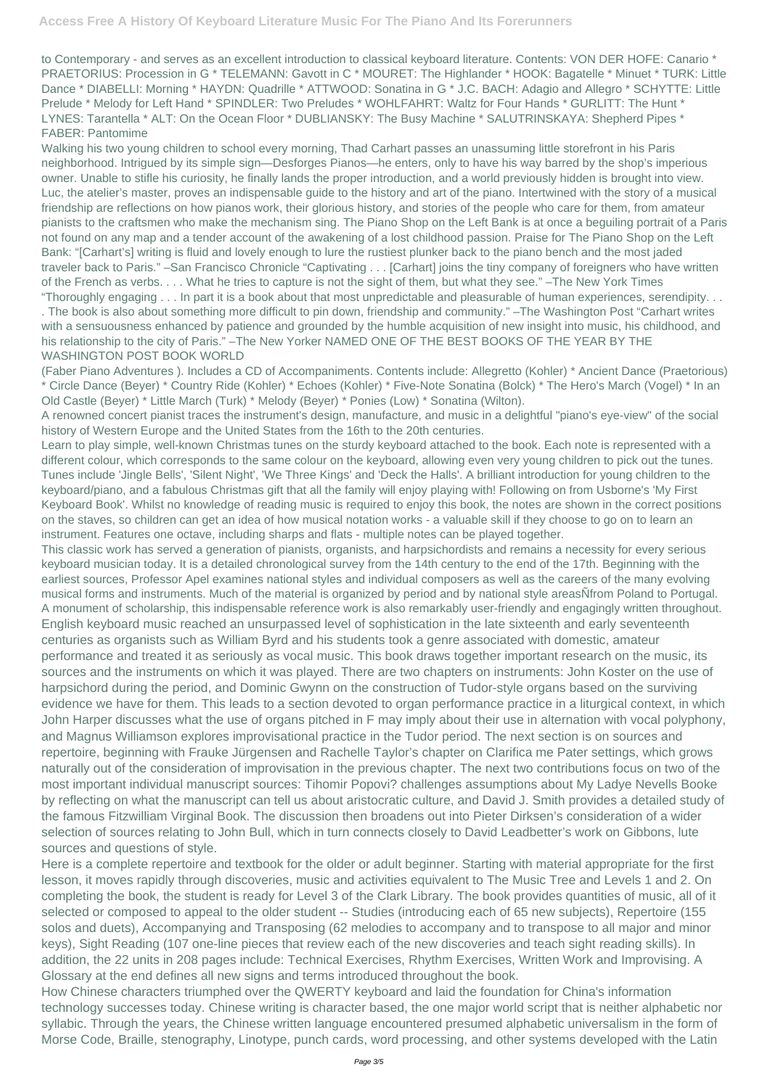to Contemporary - and serves as an excellent introduction to classical keyboard literature. Contents: VON DER HOFE: Canario \* PRAETORIUS: Procession in G \* TELEMANN: Gavott in C \* MOURET: The Highlander \* HOOK: Bagatelle \* Minuet \* TURK: Little Dance \* DIABELLI: Morning \* HAYDN: Quadrille \* ATTWOOD: Sonatina in G \* J.C. BACH: Adagio and Allegro \* SCHYTTE: Little Prelude \* Melody for Left Hand \* SPINDLER: Two Preludes \* WOHLFAHRT: Waltz for Four Hands \* GURLITT: The Hunt \* LYNES: Tarantella \* ALT: On the Ocean Floor \* DUBLIANSKY: The Busy Machine \* SALUTRINSKAYA: Shepherd Pipes \* FABER: Pantomime

Walking his two young children to school every morning, Thad Carhart passes an unassuming little storefront in his Paris neighborhood. Intrigued by its simple sign—Desforges Pianos—he enters, only to have his way barred by the shop's imperious owner. Unable to stifle his curiosity, he finally lands the proper introduction, and a world previously hidden is brought into view. Luc, the atelier's master, proves an indispensable guide to the history and art of the piano. Intertwined with the story of a musical friendship are reflections on how pianos work, their glorious history, and stories of the people who care for them, from amateur pianists to the craftsmen who make the mechanism sing. The Piano Shop on the Left Bank is at once a beguiling portrait of a Paris not found on any map and a tender account of the awakening of a lost childhood passion. Praise for The Piano Shop on the Left Bank: "[Carhart's] writing is fluid and lovely enough to lure the rustiest plunker back to the piano bench and the most jaded traveler back to Paris." –San Francisco Chronicle "Captivating . . . [Carhart] joins the tiny company of foreigners who have written of the French as verbs. . . . What he tries to capture is not the sight of them, but what they see." –The New York Times "Thoroughly engaging . . . In part it is a book about that most unpredictable and pleasurable of human experiences, serendipity. . . . The book is also about something more difficult to pin down, friendship and community." –The Washington Post "Carhart writes with a sensuousness enhanced by patience and grounded by the humble acquisition of new insight into music, his childhood, and his relationship to the city of Paris." –The New Yorker NAMED ONE OF THE BEST BOOKS OF THE YEAR BY THE

## WASHINGTON POST BOOK WORLD

(Faber Piano Adventures ). Includes a CD of Accompaniments. Contents include: Allegretto (Kohler) \* Ancient Dance (Praetorious) \* Circle Dance (Beyer) \* Country Ride (Kohler) \* Echoes (Kohler) \* Five-Note Sonatina (Bolck) \* The Hero's March (Vogel) \* In an Old Castle (Beyer) \* Little March (Turk) \* Melody (Beyer) \* Ponies (Low) \* Sonatina (Wilton).

A renowned concert pianist traces the instrument's design, manufacture, and music in a delightful "piano's eye-view" of the social history of Western Europe and the United States from the 16th to the 20th centuries.

Learn to play simple, well-known Christmas tunes on the sturdy keyboard attached to the book. Each note is represented with a different colour, which corresponds to the same colour on the keyboard, allowing even very young children to pick out the tunes. Tunes include 'Jingle Bells', 'Silent Night', 'We Three Kings' and 'Deck the Halls'. A brilliant introduction for young children to the keyboard/piano, and a fabulous Christmas gift that all the family will enjoy playing with! Following on from Usborne's 'My First Keyboard Book'. Whilst no knowledge of reading music is required to enjoy this book, the notes are shown in the correct positions on the staves, so children can get an idea of how musical notation works - a valuable skill if they choose to go on to learn an instrument. Features one octave, including sharps and flats - multiple notes can be played together.

This classic work has served a generation of pianists, organists, and harpsichordists and remains a necessity for every serious keyboard musician today. It is a detailed chronological survey from the 14th century to the end of the 17th. Beginning with the earliest sources, Professor Apel examines national styles and individual composers as well as the careers of the many evolving musical forms and instruments. Much of the material is organized by period and by national style areasÑfrom Poland to Portugal. A monument of scholarship, this indispensable reference work is also remarkably user-friendly and engagingly written throughout. English keyboard music reached an unsurpassed level of sophistication in the late sixteenth and early seventeenth centuries as organists such as William Byrd and his students took a genre associated with domestic, amateur performance and treated it as seriously as vocal music. This book draws together important research on the music, its sources and the instruments on which it was played. There are two chapters on instruments: John Koster on the use of harpsichord during the period, and Dominic Gwynn on the construction of Tudor-style organs based on the surviving evidence we have for them. This leads to a section devoted to organ performance practice in a liturgical context, in which John Harper discusses what the use of organs pitched in F may imply about their use in alternation with vocal polyphony, and Magnus Williamson explores improvisational practice in the Tudor period. The next section is on sources and repertoire, beginning with Frauke Jürgensen and Rachelle Taylor's chapter on Clarifica me Pater settings, which grows naturally out of the consideration of improvisation in the previous chapter. The next two contributions focus on two of the most important individual manuscript sources: Tihomir Popovi? challenges assumptions about My Ladye Nevells Booke by reflecting on what the manuscript can tell us about aristocratic culture, and David J. Smith provides a detailed study of the famous Fitzwilliam Virginal Book. The discussion then broadens out into Pieter Dirksen's consideration of a wider

selection of sources relating to John Bull, which in turn connects closely to David Leadbetter's work on Gibbons, lute sources and questions of style.

Here is a complete repertoire and textbook for the older or adult beginner. Starting with material appropriate for the first lesson, it moves rapidly through discoveries, music and activities equivalent to The Music Tree and Levels 1 and 2. On completing the book, the student is ready for Level 3 of the Clark Library. The book provides quantities of music, all of it selected or composed to appeal to the older student -- Studies (introducing each of 65 new subjects), Repertoire (155 solos and duets), Accompanying and Transposing (62 melodies to accompany and to transpose to all major and minor keys), Sight Reading (107 one-line pieces that review each of the new discoveries and teach sight reading skills). In addition, the 22 units in 208 pages include: Technical Exercises, Rhythm Exercises, Written Work and Improvising. A Glossary at the end defines all new signs and terms introduced throughout the book. How Chinese characters triumphed over the QWERTY keyboard and laid the foundation for China's information technology successes today. Chinese writing is character based, the one major world script that is neither alphabetic nor syllabic. Through the years, the Chinese written language encountered presumed alphabetic universalism in the form of Morse Code, Braille, stenography, Linotype, punch cards, word processing, and other systems developed with the Latin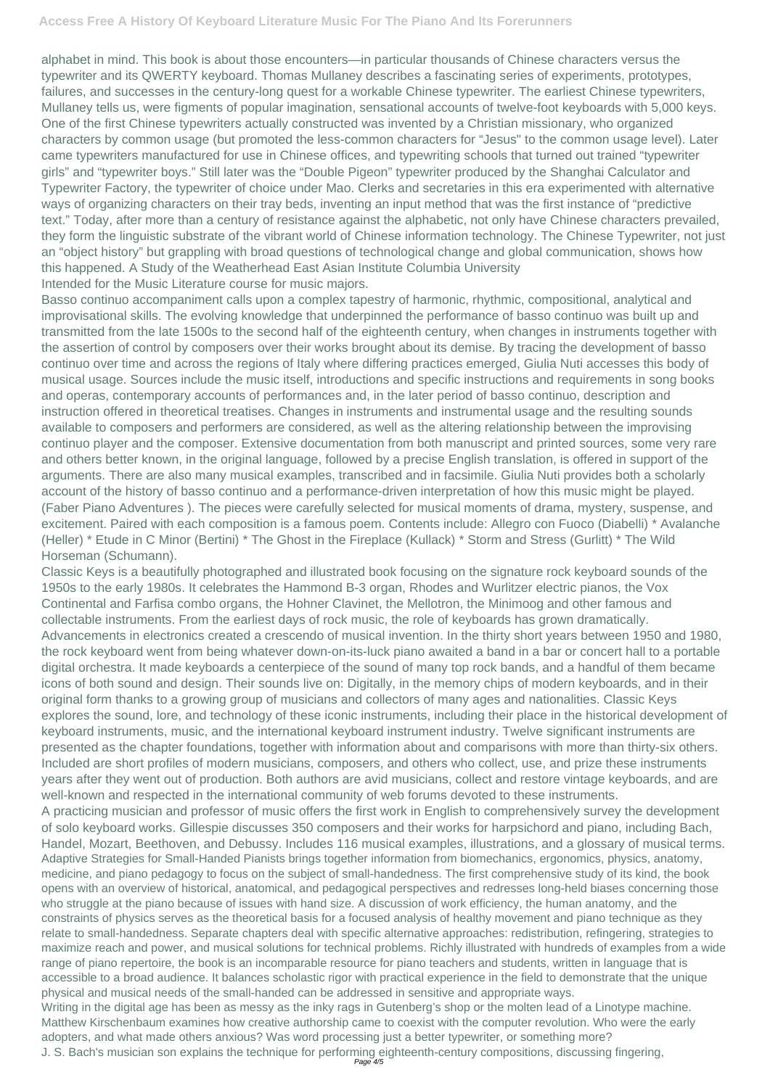alphabet in mind. This book is about those encounters—in particular thousands of Chinese characters versus the typewriter and its QWERTY keyboard. Thomas Mullaney describes a fascinating series of experiments, prototypes, failures, and successes in the century-long quest for a workable Chinese typewriter. The earliest Chinese typewriters, Mullaney tells us, were figments of popular imagination, sensational accounts of twelve-foot keyboards with 5,000 keys. One of the first Chinese typewriters actually constructed was invented by a Christian missionary, who organized characters by common usage (but promoted the less-common characters for "Jesus" to the common usage level). Later came typewriters manufactured for use in Chinese offices, and typewriting schools that turned out trained "typewriter girls" and "typewriter boys." Still later was the "Double Pigeon" typewriter produced by the Shanghai Calculator and Typewriter Factory, the typewriter of choice under Mao. Clerks and secretaries in this era experimented with alternative ways of organizing characters on their tray beds, inventing an input method that was the first instance of "predictive text." Today, after more than a century of resistance against the alphabetic, not only have Chinese characters prevailed, they form the linguistic substrate of the vibrant world of Chinese information technology. The Chinese Typewriter, not just an "object history" but grappling with broad questions of technological change and global communication, shows how this happened. A Study of the Weatherhead East Asian Institute Columbia University Intended for the Music Literature course for music majors.

Classic Keys is a beautifully photographed and illustrated book focusing on the signature rock keyboard sounds of the 1950s to the early 1980s. It celebrates the Hammond B-3 organ, Rhodes and Wurlitzer electric pianos, the Vox Continental and Farfisa combo organs, the Hohner Clavinet, the Mellotron, the Minimoog and other famous and collectable instruments. From the earliest days of rock music, the role of keyboards has grown dramatically. Advancements in electronics created a crescendo of musical invention. In the thirty short years between 1950 and 1980, the rock keyboard went from being whatever down-on-its-luck piano awaited a band in a bar or concert hall to a portable digital orchestra. It made keyboards a centerpiece of the sound of many top rock bands, and a handful of them became icons of both sound and design. Their sounds live on: Digitally, in the memory chips of modern keyboards, and in their original form thanks to a growing group of musicians and collectors of many ages and nationalities. Classic Keys explores the sound, lore, and technology of these iconic instruments, including their place in the historical development of keyboard instruments, music, and the international keyboard instrument industry. Twelve significant instruments are presented as the chapter foundations, together with information about and comparisons with more than thirty-six others. Included are short profiles of modern musicians, composers, and others who collect, use, and prize these instruments years after they went out of production. Both authors are avid musicians, collect and restore vintage keyboards, and are well-known and respected in the international community of web forums devoted to these instruments. A practicing musician and professor of music offers the first work in English to comprehensively survey the development of solo keyboard works. Gillespie discusses 350 composers and their works for harpsichord and piano, including Bach, Handel, Mozart, Beethoven, and Debussy. Includes 116 musical examples, illustrations, and a glossary of musical terms. Adaptive Strategies for Small-Handed Pianists brings together information from biomechanics, ergonomics, physics, anatomy, medicine, and piano pedagogy to focus on the subject of small-handedness. The first comprehensive study of its kind, the book opens with an overview of historical, anatomical, and pedagogical perspectives and redresses long-held biases concerning those who struggle at the piano because of issues with hand size. A discussion of work efficiency, the human anatomy, and the constraints of physics serves as the theoretical basis for a focused analysis of healthy movement and piano technique as they relate to small-handedness. Separate chapters deal with specific alternative approaches: redistribution, refingering, strategies to maximize reach and power, and musical solutions for technical problems. Richly illustrated with hundreds of examples from a wide range of piano repertoire, the book is an incomparable resource for piano teachers and students, written in language that is accessible to a broad audience. It balances scholastic rigor with practical experience in the field to demonstrate that the unique physical and musical needs of the small-handed can be addressed in sensitive and appropriate ways. Writing in the digital age has been as messy as the inky rags in Gutenberg's shop or the molten lead of a Linotype machine. Matthew Kirschenbaum examines how creative authorship came to coexist with the computer revolution. Who were the early adopters, and what made others anxious? Was word processing just a better typewriter, or something more? J. S. Bach's musician son explains the technique for performing eighteenth-century compositions, discussing fingering, Page 4/5

Basso continuo accompaniment calls upon a complex tapestry of harmonic, rhythmic, compositional, analytical and improvisational skills. The evolving knowledge that underpinned the performance of basso continuo was built up and transmitted from the late 1500s to the second half of the eighteenth century, when changes in instruments together with the assertion of control by composers over their works brought about its demise. By tracing the development of basso continuo over time and across the regions of Italy where differing practices emerged, Giulia Nuti accesses this body of musical usage. Sources include the music itself, introductions and specific instructions and requirements in song books and operas, contemporary accounts of performances and, in the later period of basso continuo, description and instruction offered in theoretical treatises. Changes in instruments and instrumental usage and the resulting sounds available to composers and performers are considered, as well as the altering relationship between the improvising continuo player and the composer. Extensive documentation from both manuscript and printed sources, some very rare and others better known, in the original language, followed by a precise English translation, is offered in support of the arguments. There are also many musical examples, transcribed and in facsimile. Giulia Nuti provides both a scholarly account of the history of basso continuo and a performance-driven interpretation of how this music might be played. (Faber Piano Adventures ). The pieces were carefully selected for musical moments of drama, mystery, suspense, and excitement. Paired with each composition is a famous poem. Contents include: Allegro con Fuoco (Diabelli) \* Avalanche (Heller) \* Etude in C Minor (Bertini) \* The Ghost in the Fireplace (Kullack) \* Storm and Stress (Gurlitt) \* The Wild Horseman (Schumann).